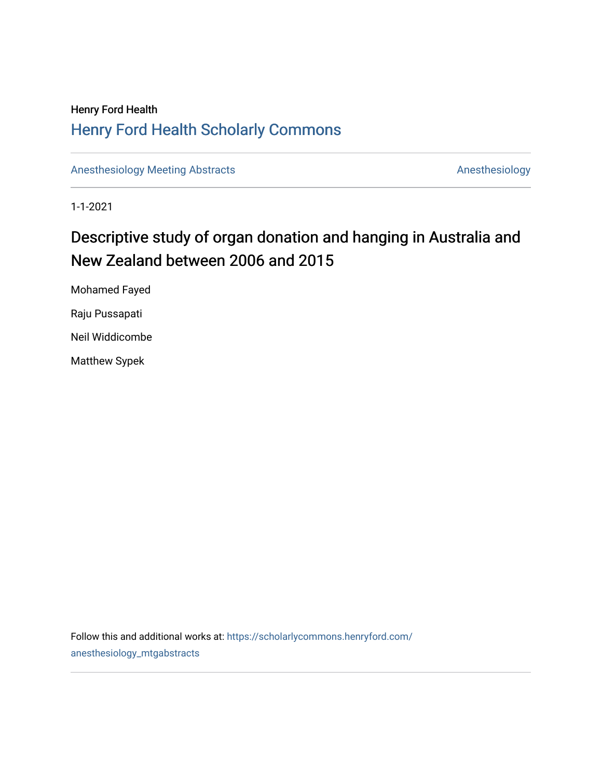## Henry Ford Health [Henry Ford Health Scholarly Commons](https://scholarlycommons.henryford.com/)

[Anesthesiology Meeting Abstracts](https://scholarlycommons.henryford.com/anesthesiology_mtgabstracts) **Anesthesiology** Anesthesiology

1-1-2021

# Descriptive study of organ donation and hanging in Australia and New Zealand between 2006 and 2015

Mohamed Fayed Raju Pussapati Neil Widdicombe Matthew Sypek

Follow this and additional works at: [https://scholarlycommons.henryford.com/](https://scholarlycommons.henryford.com/anesthesiology_mtgabstracts?utm_source=scholarlycommons.henryford.com%2Fanesthesiology_mtgabstracts%2F34&utm_medium=PDF&utm_campaign=PDFCoverPages) [anesthesiology\\_mtgabstracts](https://scholarlycommons.henryford.com/anesthesiology_mtgabstracts?utm_source=scholarlycommons.henryford.com%2Fanesthesiology_mtgabstracts%2F34&utm_medium=PDF&utm_campaign=PDFCoverPages)